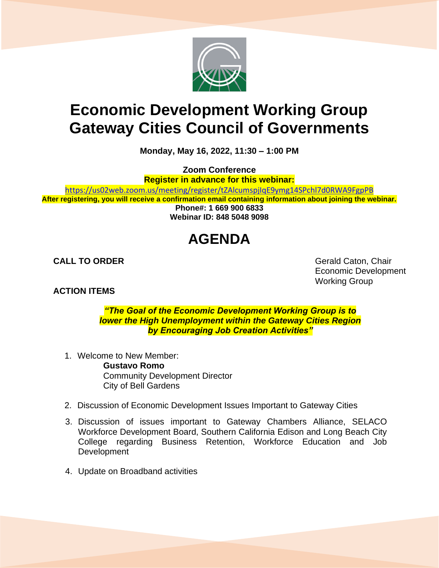

## **Economic Development Working Group Gateway Cities Council of Governments**

**Monday, May 16, 2022, 11:30 – 1:00 PM**

**Zoom Conference**

**Register in advance for this webinar:**

[https://us02web.zoom.us/meeting/register/tZAlcumspjIqE9ymg14SPchl7d0RWA9FgpPB](about:blank)

**After registering, you will receive a confirmation email containing information about joining the webinar. Phone#: 1 669 900 6833 Webinar ID: 848 5048 9098**

## **AGENDA**

## **ACTION ITEMS**

**CALL TO ORDER** Gerald Caton, Chair Economic Development Working Group

> *"The Goal of the Economic Development Working Group is to lower the High Unemployment within the Gateway Cities Region by Encouraging Job Creation Activities"*

1. Welcome to New Member:

**Gustavo Romo** Community Development Director City of Bell Gardens

- 2. Discussion of Economic Development Issues Important to Gateway Cities
- 3. Discussion of issues important to Gateway Chambers Alliance, SELACO Workforce Development Board, Southern California Edison and Long Beach City College regarding Business Retention, Workforce Education and Job Development
- 4. Update on Broadband activities